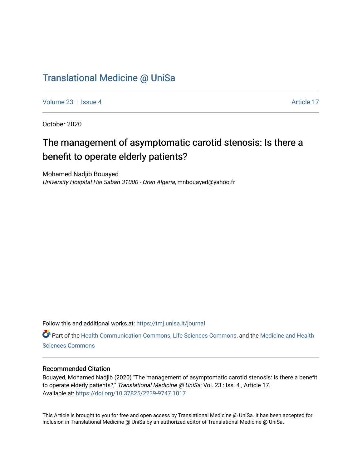## [Translational Medicine @ UniSa](https://tmj.unisa.it/journal)

[Volume 23](https://tmj.unisa.it/journal/vol23) | [Issue 4](https://tmj.unisa.it/journal/vol23/iss4) Article 17

October 2020

# The management of asymptomatic carotid stenosis: Is there a benefit to operate elderly patients?

Mohamed Nadjib Bouayed University Hospital Hai Sabah 31000 - Oran Algeria, mnbouayed@yahoo.fr

Follow this and additional works at: [https://tmj.unisa.it/journal](https://tmj.unisa.it/journal?utm_source=tmj.unisa.it%2Fjournal%2Fvol23%2Fiss4%2F17&utm_medium=PDF&utm_campaign=PDFCoverPages)

Part of the [Health Communication Commons](http://network.bepress.com/hgg/discipline/330?utm_source=tmj.unisa.it%2Fjournal%2Fvol23%2Fiss4%2F17&utm_medium=PDF&utm_campaign=PDFCoverPages), [Life Sciences Commons](http://network.bepress.com/hgg/discipline/1016?utm_source=tmj.unisa.it%2Fjournal%2Fvol23%2Fiss4%2F17&utm_medium=PDF&utm_campaign=PDFCoverPages), and the [Medicine and Health](http://network.bepress.com/hgg/discipline/648?utm_source=tmj.unisa.it%2Fjournal%2Fvol23%2Fiss4%2F17&utm_medium=PDF&utm_campaign=PDFCoverPages) [Sciences Commons](http://network.bepress.com/hgg/discipline/648?utm_source=tmj.unisa.it%2Fjournal%2Fvol23%2Fiss4%2F17&utm_medium=PDF&utm_campaign=PDFCoverPages) 

### Recommended Citation

Bouayed, Mohamed Nadjib (2020) "The management of asymptomatic carotid stenosis: Is there a benefit to operate elderly patients?," Translational Medicine @ UniSa: Vol. 23 : Iss. 4, Article 17. Available at:<https://doi.org/10.37825/2239-9747.1017>

This Article is brought to you for free and open access by Translational Medicine @ UniSa. It has been accepted for inclusion in Translational Medicine @ UniSa by an authorized editor of Translational Medicine @ UniSa.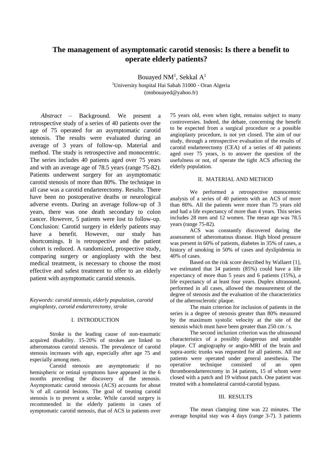## **The management of asymptomatic carotid stenosis: Is there a benefit to operate elderly patients?**

Bouayed NM<sup>1</sup>, Sekkal A<sup>1</sup> <sup>1</sup>University hospital Hai Sabah 31000 - Oran Algeria (mnbouayed@yahoo.fr)

*Abstract* – Background. We present a retrospective study of a series of 40 patients over the age of 75 operated for an asymptomatic carotid stenosis. The results were evaluated during an average of 3 years of follow-up. Material and method. The study is retrospective and monocentric. The series includes 40 patients aged over 75 years and with an average age of 78.5 years (range 75-82). Patients underwent surgery for an asymptomatic carotid stenosis of more than 80%. The technique in all case was a carotid endarterectomy. Results. There have been no postoperative deaths or neurological adverse events. During an average follow-up of 3 years, there was one death secondary to colon cancer. However, 5 patients were lost to follow-up. Conclusion: Carotid surgery in elderly patients may have a benefit. However, our study has shortcomings. It is retrospective and the patient cohort is reduced. A randomized, prospective study, comparing surgery or angioplasty with the best medical treatment, is necessary to choose the most effective and safest treatment to offer to an elderly patient with asymptomatic carotid stenosis.

#### *Keywords: carotid stenosis, elderly population, carotid angioplasty, carotid endarterectomy, stroke*

#### I. INTRODUCTION

Stroke is the leading cause of non-traumatic acquired disability. 15-20% of strokes are linked to atheromatous carotid stenosis. The prevalence of carotid stenosis increases with age, especially after age 75 and especially among men.

Carotid stenosis are asymptomatic if no hemispheric or retinal symptoms have appeared in the 6 months preceding the discovery of the stenosis. Asymptomatic carotid stenosis (ACS) accounts for about ¾ of all carotid lesions. The goal of treating carotid stenosis is to prevent a stroke. While carotid surgery is recommended in the elderly patients in cases of symptomatic carotid stenosis, that of ACS in patients over 75 years old, even when tight, remains subject to many controversies. Indeed, the debate, concerning the benefit to be expected from a surgical procedure or a possible angioplasty procedure, is not yet closed. The aim of our study, through a retrospective evaluation of the results of carotid endarterectomy (CEA) of a series of 40 patients aged over 75 years, is to answer the question of the usefulness or not, of operate the tight ACS affecting the elderly population.

#### II. MATERIAL AND METHOD

We performed a retrospective monocentric analysis of a series of 40 patients with an ACS of more than 80%. All the patients were more than 75 years old and had a life expectancy of more than 4 years. This series includes 28 men and 12 women. The mean age was 78.5 years (range 75-82).

ACS was constantly discovered during the assessment of atheromatous disease. High blood pressure was present in 60% of patients, diabetes in 35% of cases, a history of smoking in 50% of cases and dyslipidemia in 40% of cases.

Based on the risk score described by Wallaert [1], we estimated that 34 patients (85%) could have a life expectancy of more than 5 years and 6 patients (15%), a life expectancy of at least four years. Duplex ultrasound, performed in all cases, allowed the measurement of the degree of stenosis and the evaluation of the characteristics of the atherosclerotic plaque.

The main criterion for inclusion of patients in the series is a degree of stenosis greater than 80% measured by the maximum systolic velocity at the site of the stenosis which must have been greater than 250 cm / s.

The second inclusion criterion was the ultrasound characteristics of a possibly dangerous and unstable plaque. CT angiography or angio-MRI of the brain and supra-aortic trunks was requested for all patients. All our patients were operated under general anesthesia. The operative technique consisted of an open thromboendarterectomy in 34 patients, 15 of whom were closed with a patch and 19 without patch. One patient was treated with a homolateral carotid-carotid bypass.

#### III. RESULTS

The mean clamping time was 22 minutes. The average hospital stay was 4 days (range 3-7). 3 patients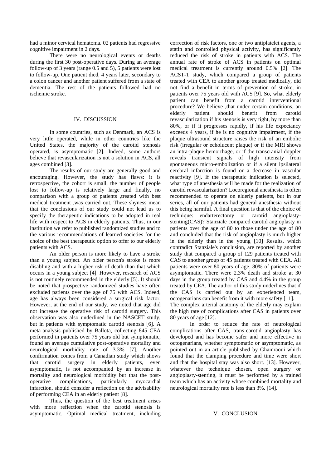had a minor cervical hematoma. 02 patients had regressive cognitive impairment in 2 days.

There were no neurological events or deaths during the first 30 post-operative days. During an average follow-up of 3 years (range 0.5 and 5), 5 patients were lost to follow-up. One patient died, 4 years later, secondary to a colon cancer and another patient suffered from a state of dementia. The rest of the patients followed had no ischemic stroke.

#### IV. DISCUSSION

In some countries, such as Denmark, an ACS is very little operated, while in other countries like the United States, the majority of the carotid stenosis operated, is asymptomatic [2]. Indeed, some authors believe that revascularization is not a solution in ACS, all ages combined [3].

The results of our study are generally good and encouraging. However, the study has flaws: it is retrospective, the cohort is small, the number of people lost to follow-up is relatively large and finally, no comparison with a group of patients ,treated with best medical treatment ,was carried out. These shyness mean that the conclusions of our study could not lead us to specify the therapeutic indications to be adopted in real life with respect to ACS in elderly patients. Thus, in our institution we refer to published randomized studies and to the various recommendations of learned societies for the choice of the best therapeutic option to offer to our elderly patients with ACS.

An older person is more likely to have a stroke than a young subject. An older person's stroke is more disabling and with a higher risk of death than that which occurs in a young subject [4]. However, research of ACS is not routinely recommended in the elderly [5]. It should be noted that prospective randomized studies have often excluded patients over the age of 75 with ACS. Indeed, age has always been considered a surgical risk factor. However, at the end of our study, we noted that age did not increase the operative risk of carotid surgery. This observation was also underlined in the NASCET study, but in patients with symptomatic carotid stenosis [6]. A meta-analysis published by Ballota, collecting 845 CEA performed in patients over 75 years old but symptomatic, found an average cumulative post-operative mortality and neurological morbidity rate of 3.3% [7]. Another confirmation comes from a Canadian study which shows that carotid surgery in elderly patients, even asymptomatic, is not accompanied by an increase in mortality and neurological morbidity but that the postoperative complications, particularly myocardial infarction, should consider a reflection on the advisability of performing CEA in an elderly patient [8].

Thus, the question of the best treatment arises with more reflection when the carotid stenosis is asymptomatic. Optimal medical treatment, including correction of risk factors, one or two antiplatelet agents, a statin and controlled physical activity, has significantly reduced the risk of stroke in patients with ACS. The annual rate of stroke of ACS in patients on optimal medical treatment is currently around 0.5% [2]. The ACST-1 study, which compared a group of patients treated with CEA to another group treated medically, did not find a benefit in terms of prevention of stroke, in patients over 75 years old with ACS [9]. So, what elderly patient can benefit from a carotid interventional procedure? We believe ,that under certain conditions, an elderly patient should benefit from carotid revascularization if his stenosis is very tight, by more than 80%, or if it progresses rapidly, if his life expectancy exceeds 4 years, if he is no cognitive impairment, if the plaque ultrasound structure raises the risk of an embolic risk (irregular or echolucent plaque) or if the MRI shows an intra-plaque hemorrhage, or if the transcranial doppler reveals transient signals of high intensity from spontaneous micro-embolization or if a silent ipsilateral cerebral infarction is found or a decrease in vascular reactivity [9]. If the therapeutic indication is selected, what type of anesthesia will be made for the realization of carotid revascularization? Locoregional anesthesia is often recommended to operate on elderly patients, but in our series, all of our patients had general anesthesia without this being harmful. A final question is that of the choice of technique: endarterectomy or carotid angioplastystenting(CAS)? Stanziale compared carotid angioplasty in patients over the age of 80 to those under the age of 80 and concluded that the risk of angioplasty is much higher in the elderly than in the young [10] Results, which contradict Stanziale's conclusion, are reported by another study that compared a group of 129 patients treated with CAS to another group of 45 patients treated with CEA. All patients were over 80 years of age. 80% of patients were asymptomatic. There were 2.3% death and stroke at 30 days in the group treated by CAS and 4.4% in the group treated by CEA. The author of this study underlines that if the CAS is carried out by an experienced team, octogenarians can benefit from it with more safety [11]. The complex arterial anatomy of the elderly may explain the high rate of complications after CAS in patients over

80 years of age [12]. In order to reduce the rate of neurological complications after CAS, trans-carotid angioplasty has developed and has become safer and more effective in octogenarians, whether symptomatic or asymptomatic, as pointed out in an article published by Ghamraoui which found that the clamping procedure and time were short and that the hospital stay was also short. [13]. However, whatever the technique chosen, open surgery or angioplasty-stenting, it must be performed by a trained team which has an activity whose combined mortality and neurological mortality rate is less than 3%. [14].

#### V. CONCLUSION